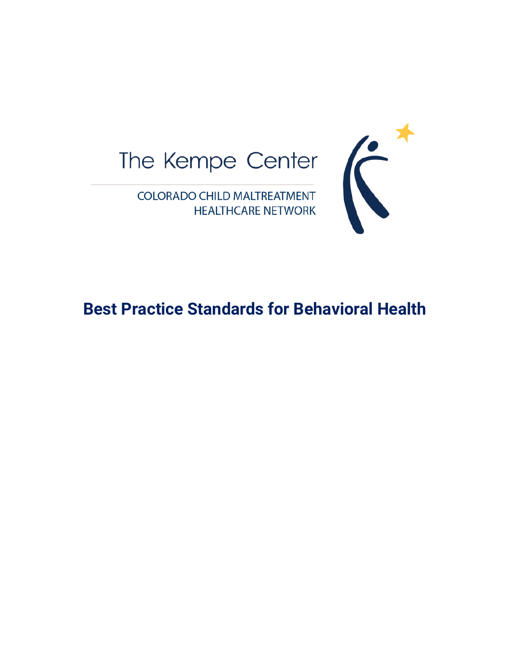



**Best Practice Standards for Behavioral Health**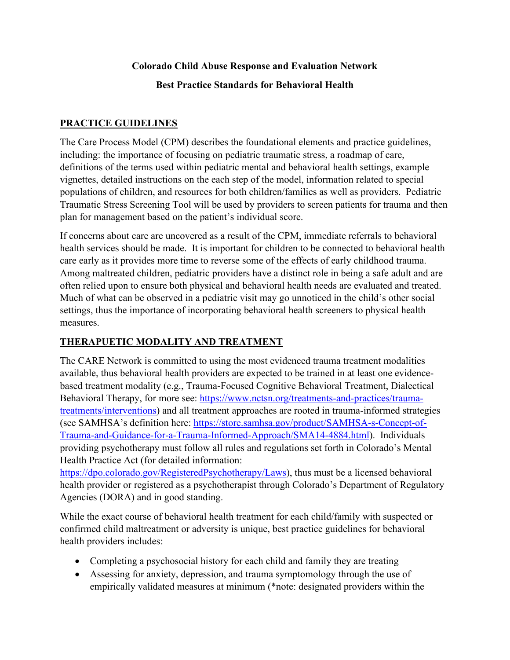## **Colorado Child Abuse Response and Evaluation Network**

**Best Practice Standards for Behavioral Health** 

## **PRACTICE GUIDELINES**

The Care Process Model (CPM) describes the foundational elements and practice guidelines, including: the importance of focusing on pediatric traumatic stress, a roadmap of care, definitions of the terms used within pediatric mental and behavioral health settings, example vignettes, detailed instructions on the each step of the model, information related to special populations of children, and resources for both children/families as well as providers. Pediatric Traumatic Stress Screening Tool will be used by providers to screen patients for trauma and then plan for management based on the patient's individual score.

If concerns about care are uncovered as a result of the CPM, immediate referrals to behavioral health services should be made. It is important for children to be connected to behavioral health care early as it provides more time to reverse some of the effects of early childhood trauma. Among maltreated children, pediatric providers have a distinct role in being a safe adult and are often relied upon to ensure both physical and behavioral health needs are evaluated and treated. Much of what can be observed in a pediatric visit may go unnoticed in the child's other social settings, thus the importance of incorporating behavioral health screeners to physical health measures.

## **THERAPUETIC MODALITY AND TREATMENT**

The CARE Network is committed to using the most evidenced trauma treatment modalities available, thus behavioral health providers are expected to be trained in at least one evidencebased treatment modality (e.g., Trauma-Focused Cognitive Behavioral Treatment, Dialectical Behavioral Therapy, for more see: [https://www.nctsn.org/treatments-and-practices/trauma](https://www.nctsn.org/treatments-and-practices/trauma-treatments/interventions)[treatments/interventions\)](https://www.nctsn.org/treatments-and-practices/trauma-treatments/interventions) and all treatment approaches are rooted in trauma-informed strategies (see SAMHSA's definition here: [https://store.samhsa.gov/product/SAMHSA-s-Concept-of-](https://store.samhsa.gov/product/SAMHSA-s-Concept-of-Trauma-and-Guidance-for-a-Trauma-Informed-Approach/SMA14-4884.html)[Trauma-and-Guidance-for-a-Trauma-Informed-Approach/SMA14-4884.html\)](https://store.samhsa.gov/product/SAMHSA-s-Concept-of-Trauma-and-Guidance-for-a-Trauma-Informed-Approach/SMA14-4884.html). Individuals providing psychotherapy must follow all rules and regulations set forth in Colorado's Mental Health Practice Act (for detailed information:

[https://dpo.colorado.gov/RegisteredPsychotherapy/Laws\)](https://dpo.colorado.gov/RegisteredPsychotherapy/Laws), thus must be a licensed behavioral health provider or registered as a psychotherapist through Colorado's Department of Regulatory Agencies (DORA) and in good standing.

While the exact course of behavioral health treatment for each child/family with suspected or confirmed child maltreatment or adversity is unique, best practice guidelines for behavioral health providers includes:

- Completing a psychosocial history for each child and family they are treating
- Assessing for anxiety, depression, and trauma symptomology through the use of empirically validated measures at minimum (\*note: designated providers within the